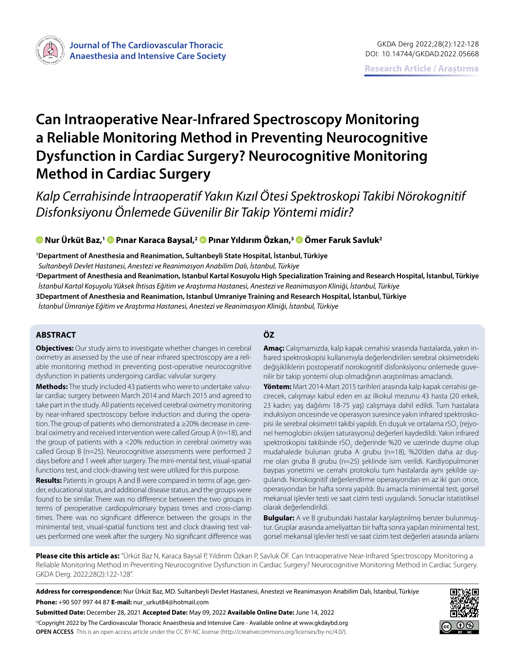

# **Can Intraoperative Near-Infrared Spectroscopy Monitoring a Reliable Monitoring Method in Preventing Neurocognitive Dysfunction in Cardiac Surgery? Neurocognitive Monitoring Method in Cardiac Surgery**

*Kalp Cerrahisinde İntraoperatif Yakın Kızıl Ötesi Spektroskopi Takibi Nörokognitif Disfonksiyonu Önlemede Güvenilir Bir Takip Yöntemi midir?*

### **Nur Ürküt Baz,1Pınar Karaca Baysal,2 [P](https://orcid.org/0000-0001-7036-9733)ınar Yıldırım Özkan,3 [Ö](https://orcid.org/0000-0003-1875-1948)mer Faruk Savluk2**

**1 Department of Anesthesia and Reanimation, Sultanbeyli State Hospital, İstanbul, Türkiye**

*Sultanbeyli Devlet Hastanesi, Anestezi ve Reanimasyon Anabilim Dalı, İstanbul, Türkiye*

**2 Department of Anesthesia and Reanimation, Istanbul Kartal Kosuyolu High Specialization Training and Research Hospital, İstanbul, Türkiye** *İstanbul Kartal Koşuyolu Yüksek İhtisas Eğitim ve Araştırma Hastanesi, Anestezi ve Reanimasyon Kliniği, İstanbul, Türkiye* **3Department of Anesthesia and Reanimation, Istanbul Umraniye Training and Research Hospital, İstanbul, Türkiye**

*İstanbul Ümraniye Eğitim ve Araştırma Hastanesi, Anestezi ve Reanimasyon Kliniği, İstanbul, Türkiye*

#### **ABSTRACT ÖZ**

**Objectives:** Our study aims to investigate whether changes in cerebral oximetry as assessed by the use of near infrared spectroscopy are a reliable monitoring method in preventing post-operative neurocognitive dysfunction in patients undergoing cardiac valvular surgery.

**Methods:** The study included 43 patients who were to undertake valvular cardiac surgery between March 2014 and March 2015 and agreed to take part in the study. All patients received cerebral oximetry monitoring by near-infrared spectroscopy before induction and during the operation. The group of patients who demonstrated a ≥20% decrease in cerebral oximetry and received intervention were called Group A (n=18), and the group of patients with a <20% reduction in cerebral oximetry was called Group B (n=25). Neurocognitive assessments were performed 2 days before and 1 week after surgery. The mini-mental test, visual-spatial functions test, and clock-drawing test were utilized for this purpose.

**Results:** Patients in groups A and B were compared in terms of age, gender, educational status, and additional disease status, and the groups were found to be similar. There was no difference between the two groups in terms of peroperative cardiopulmonary bypass times and cross-clamp times. There was no significant difference between the groups in the minimental test, visual-spatial functions test and clock drawing test values performed one week after the surgery. No significant difference was

**Amaç:** Calışmamızda, kalp kapak cerrahisi sırasında hastalarda, yakın infrared spektroskopisi kullanımıyla değerlendirilen serebral oksimetrideki değişikliklerin postoperatif norokognitif disfonksiyonu onlemede guvenilir bir takip yontemi olup olmadığının araştırılması amaclandı.

**Yöntem:** Mart 2014-Mart 2015 tarihleri arasında kalp kapak cerrahisi gecirecek, calışmayı kabul eden en az ilkokul mezunu 43 hasta (20 erkek, 23 kadın; yaş dağılımı 18-75 yaş) calışmaya dahil edildi. Tum hastalara induksiyon oncesinde ve operasyon suresince yakın infrared spektroskopisi ile serebral oksimetri takibi yapıldı. En duşuk ve ortalama rSO $_2$  (rejyonel hemoglobin oksijen saturasyonu) değerleri kaydedildi. Yakın infrared spektroskopisi takibinde rSO<sub>2</sub> değerinde %20 ve uzerinde duşme olup mudahalede bulunan gruba A grubu (n=18), %20'den daha az duşme olan gruba B grubu (n=25) şeklinde isim verildi. Kardiyopulmoner baypas yonetimi ve cerrahi protokolu tum hastalarda aynı şekilde uygulandı. Norokognitif değerlendirme operasyondan en az iki gun once, operasyondan bir hafta sonra yapıldı. Bu amacla minimental test, gorsel mekansal işlevler testi ve saat cizim testi uygulandı. Sonuclar istatistiksel olarak değerlendirildi.

**Bulgular:** A ve B grubundaki hastalar karşılaştırılmış benzer bulunmuştur. Gruplar arasında ameliyattan bir hafta sonra yapılan minimental test, gorsel mekansal işlevler testi ve saat cizim test değerleri arasında anlamı

**Please cite this article as:** "Ürküt Baz N, Karaca Baysal P, Yıldırım Özkan P, Savluk ÖF. Can Intraoperative Near-Infrared Spectroscopy Monitoring a Reliable Monitoring Method in Preventing Neurocognitive Dysfunction in Cardiac Surgery? Neurocognitive Monitoring Method in Cardiac Surgery. GKDA Derg. 2022;28(2):122-128".

**Address for correspondence:** Nur Ürküt Baz, MD. Sultanbeyli Devlet Hastanesi, Anestezi ve Reanimasyon Anabilim Dalı, İstanbul, Türkiye **Phone:** +90 507 997 44 87 **E-mail:** nur\_urkut84@hotmail.com

**Submitted Date:** December 28, 2021 **Accepted Date:** May 09, 2022 **Available Online Date:** June 14, 2022 ©Copyright 2022 by The Cardiovascular Thoracic Anaesthesia and Intensive Care - Available online at www.gkdaybd.org **OPEN ACCESS** This is an open access article under the CC BY-NC license (http://creativecommons.org/licenses/by-nc/4.0/).

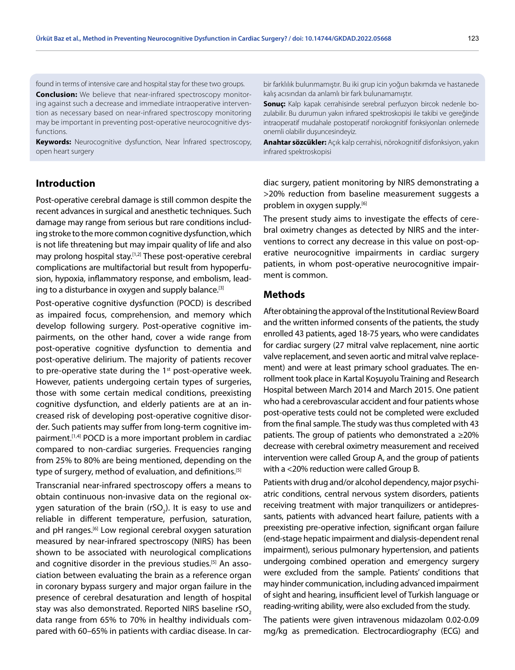found in terms of intensive care and hospital stay for these two groups. **Conclusion:** We believe that near-infrared spectroscopy monitoring against such a decrease and immediate intraoperative intervention as necessary based on near-infrared spectroscopy monitoring may be important in preventing post-operative neurocognitive dys-

**Keywords:** Neurocognitive dysfunction, Near İnfrared spectroscopy, open heart surgery

bir farklılık bulunmamıştır. Bu iki grup icin yoğun bakımda ve hastanede kalış acısından da anlamlı bir fark bulunamamıştır.

**Sonuç:** Kalp kapak cerrahisinde serebral perfuzyon bircok nedenle bozulabilir. Bu durumun yakın infrared spektroskopisi ile takibi ve gereğinde intraoperatif mudahale postoperatif norokognitif fonksiyonları onlemede onemli olabilir duşuncesindeyiz.

**Anahtar sözcükler:** Açık kalp cerrahisi, nörokognitif disfonksiyon, yakın infrared spektroskopisi

## **Introduction**

functions.

Post-operative cerebral damage is still common despite the recent advances in surgical and anesthetic techniques. Such damage may range from serious but rare conditions including stroke to the more common cognitive dysfunction, which is not life threatening but may impair quality of life and also may prolong hospital stay.<sup>[1,2]</sup> These post-operative cerebral complications are multifactorial but result from hypoperfusion, hypoxia, inflammatory response, and embolism, leading to a disturbance in oxygen and supply balance.<sup>[3]</sup>

Post-operative cognitive dysfunction (POCD) is described as impaired focus, comprehension, and memory which develop following surgery. Post-operative cognitive impairments, on the other hand, cover a wide range from post-operative cognitive dysfunction to dementia and post-operative delirium. The majority of patients recover to pre-operative state during the  $1<sup>st</sup>$  post-operative week. However, patients undergoing certain types of surgeries, those with some certain medical conditions, preexisting cognitive dysfunction, and elderly patients are at an increased risk of developing post-operative cognitive disorder. Such patients may suffer from long-term cognitive impairment.<sup>[1,4]</sup> POCD is a more important problem in cardiac compared to non-cardiac surgeries. Frequencies ranging from 25% to 80% are being mentioned, depending on the type of surgery, method of evaluation, and definitions.<sup>[5]</sup>

Transcranial near-infrared spectroscopy offers a means to obtain continuous non-invasive data on the regional oxygen saturation of the brain (rSO<sub>2</sub>). It is easy to use and reliable in different temperature, perfusion, saturation, and pH ranges.<sup>[6]</sup> Low regional cerebral oxygen saturation measured by near-infrared spectroscopy (NIRS) has been shown to be associated with neurological complications and cognitive disorder in the previous studies.<sup>[5]</sup> An association between evaluating the brain as a reference organ in coronary bypass surgery and major organ failure in the presence of cerebral desaturation and length of hospital stay was also demonstrated. Reported NIRS baseline rSO<sub>2</sub> data range from 65% to 70% in healthy individuals compared with 60–65% in patients with cardiac disease. In cardiac surgery, patient monitoring by NIRS demonstrating a >20% reduction from baseline measurement suggests a problem in oxygen supply.[6]

The present study aims to investigate the effects of cerebral oximetry changes as detected by NIRS and the interventions to correct any decrease in this value on post-operative neurocognitive impairments in cardiac surgery patients, in whom post-operative neurocognitive impairment is common.

#### **Methods**

After obtaining the approval of the Institutional Review Board and the written informed consents of the patients, the study enrolled 43 patients, aged 18-75 years, who were candidates for cardiac surgery (27 mitral valve replacement, nine aortic valve replacement, and seven aortic and mitral valve replacement) and were at least primary school graduates. The enrollment took place in Kartal Koşuyolu Training and Research Hospital between March 2014 and March 2015. One patient who had a cerebrovascular accident and four patients whose post-operative tests could not be completed were excluded from the final sample. The study was thus completed with 43 patients. The group of patients who demonstrated a  $\geq 20\%$ decrease with cerebral oximetry measurement and received intervention were called Group A, and the group of patients with a <20% reduction were called Group B.

Patients with drug and/or alcohol dependency, major psychiatric conditions, central nervous system disorders, patients receiving treatment with major tranquilizers or antidepressants, patients with advanced heart failure, patients with a preexisting pre-operative infection, significant organ failure (end-stage hepatic impairment and dialysis-dependent renal impairment), serious pulmonary hypertension, and patients undergoing combined operation and emergency surgery were excluded from the sample. Patients' conditions that may hinder communication, including advanced impairment of sight and hearing, insufficient level of Turkish language or reading-writing ability, were also excluded from the study.

The patients were given intravenous midazolam 0.02-0.09 mg/kg as premedication. Electrocardiography (ECG) and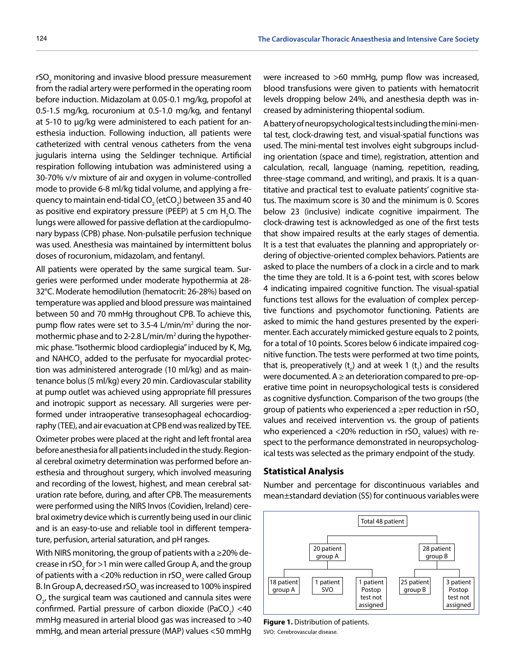rSO<sub>2</sub> monitoring and invasive blood pressure measurement from the radial artery were performed in the operating room before induction. Midazolam at 0.05-0.1 mg/kg, propofol at 0.5-1.5 mg/kg, rocuronium at 0.5-1.0 mg/kg, and fentanyl at 5-10 to µg/kg were administered to each patient for anesthesia induction. Following induction, all patients were catheterized with central venous catheters from the vena jugularis interna using the Seldinger technique. Artificial respiration following intubation was administered using a 30-70% v/v mixture of air and oxygen in volume-controlled mode to provide 6-8 ml/kg tidal volume, and applying a frequency to maintain end-tidal CO $_{_2}$  (etCO $_{_2}$ ) between 35 and 40 as positive end expiratory pressure (PEEP) at 5 cm  $H_2O$ . The lungs were allowed for passive deflation at the cardiopulmonary bypass (CPB) phase. Non-pulsatile perfusion technique was used. Anesthesia was maintained by intermittent bolus doses of rocuronium, midazolam, and fentanyl.

All patients were operated by the same surgical team. Surgeries were performed under moderate hypothermia at 28- 32°C. Moderate hemodilution (hematocrit: 26-28%) based on temperature was applied and blood pressure was maintained between 50 and 70 mmHg throughout CPB. To achieve this, pump flow rates were set to 3.5-4 L/min/m<sup>2</sup> during the normothermic phase and to 2-2.8 L/min/m<sup>2</sup> during the hypothermic phase. "Isothermic blood cardioplegia" induced by K, Mg, and NAHCO<sub>3</sub> added to the perfusate for myocardial protection was administered anterograde (10 ml/kg) and as maintenance bolus (5 ml/kg) every 20 min. Cardiovascular stability at pump outlet was achieved using appropriate fill pressures and inotropic support as necessary. All surgeries were performed under intraoperative transesophageal echocardiography (TEE), and air evacuation at CPB end was realized by TEE.

Oximeter probes were placed at the right and left frontal area before anesthesia for all patients included in the study. Regional cerebral oximetry determination was performed before anesthesia and throughout surgery, which involved measuring and recording of the lowest, highest, and mean cerebral saturation rate before, during, and after CPB. The measurements were performed using the NIRS Invos (Covidien, Ireland) cerebral oximetry device which is currently being used in our clinic and is an easy-to-use and reliable tool in different temperature, perfusion, arterial saturation, and pH ranges.

With NIRS monitoring, the group of patients with a ≥20% decrease in rSO<sub>2</sub> for >1 min were called Group A, and the group of patients with a <20% reduction in rSO $_{_2}$  were called Group B. In Group A, decreased rSO $_2$  was increased to 100% inspired  $\mathsf{O}_{\mathsf{2}'}$  the surgical team was cautioned and cannula sites were confirmed. Partial pressure of carbon dioxide  $(PaCO<sub>2</sub>) < 40$ mmHg measured in arterial blood gas was increased to >40 mmHg, and mean arterial pressure (MAP) values <50 mmHg

were increased to >60 mmHg, pump flow was increased, blood transfusions were given to patients with hematocrit levels dropping below 24%, and anesthesia depth was increased by administering thiopental sodium.

A battery of neuropsychological tests including the mini-mental test, clock-drawing test, and visual-spatial functions was used. The mini-mental test involves eight subgroups including orientation (space and time), registration, attention and calculation, recall, language (naming, repetition, reading, three-stage command, and writing), and praxis. It is a quantitative and practical test to evaluate patients' cognitive status. The maximum score is 30 and the minimum is 0. Scores below 23 (inclusive) indicate cognitive impairment. The clock-drawing test is acknowledged as one of the first tests that show impaired results at the early stages of dementia. It is a test that evaluates the planning and appropriately ordering of objective-oriented complex behaviors. Patients are asked to place the numbers of a clock in a circle and to mark the time they are told. It is a 6-point test, with scores below 4 indicating impaired cognitive function. The visual-spatial functions test allows for the evaluation of complex perceptive functions and psychomotor functioning. Patients are asked to mimic the hand gestures presented by the experimenter. Each accurately mimicked gesture equals to 2 points, for a total of 10 points. Scores below 6 indicate impaired cognitive function. The tests were performed at two time points, that is, preoperatively ( $t_o$ ) and at week 1 ( $t_1$ ) and the results were documented.  $A \geq a$ n deterioration compared to pre-operative time point in neuropsychological tests is considered as cognitive dysfunction. Comparison of the two groups (the group of patients who experienced a  $\geq$ per reduction in rSO<sub>2</sub> values and received intervention vs. the group of patients who experienced a <20% reduction in rSO<sub>2</sub> values) with respect to the performance demonstrated in neuropsychological tests was selected as the primary endpoint of the study.

#### **Statistical Analysis**

Number and percentage for discontinuous variables and mean±standard deviation (SS) for continuous variables were



**Figure 1.** Distribution of patients. SVO: Cerebrovascular disease.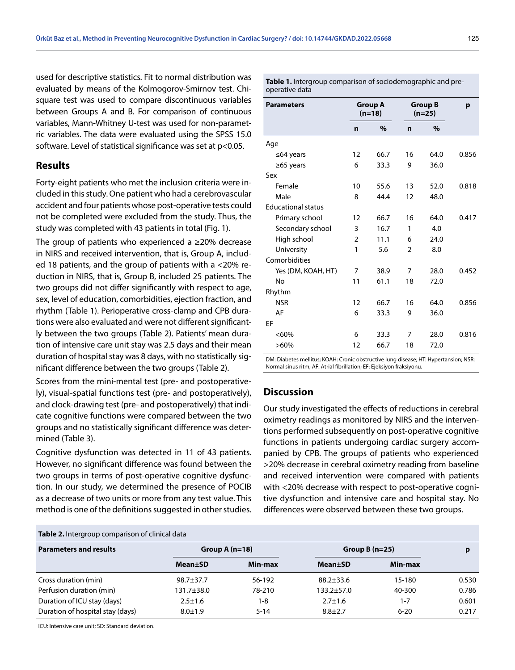used for descriptive statistics. Fit to normal distribution was evaluated by means of the Kolmogorov-Smirnov test. Chisquare test was used to compare discontinuous variables between Groups A and B. For comparison of continuous variables, Mann-Whitney U-test was used for non-parametric variables. The data were evaluated using the SPSS 15.0 software. Level of statistical significance was set at p<0.05.

#### **Results**

Forty-eight patients who met the inclusion criteria were included in this study. One patient who had a cerebrovascular accident and four patients whose post-operative tests could not be completed were excluded from the study. Thus, the study was completed with 43 patients in total (Fig. 1).

The group of patients who experienced a ≥20% decrease in NIRS and received intervention, that is, Group A, included 18 patients, and the group of patients with a <20% reduction in NIRS, that is, Group B, included 25 patients. The two groups did not differ significantly with respect to age, sex, level of education, comorbidities, ejection fraction, and rhythm (Table 1). Perioperative cross-clamp and CPB durations were also evaluated and were not different significantly between the two groups (Table 2). Patients' mean duration of intensive care unit stay was 2.5 days and their mean duration of hospital stay was 8 days, with no statistically significant difference between the two groups (Table 2).

Scores from the mini-mental test (pre- and postoperatively), visual-spatial functions test (pre- and postoperatively), and clock-drawing test (pre- and postoperatively) that indicate cognitive functions were compared between the two groups and no statistically significant difference was determined (Table 3).

Cognitive dysfunction was detected in 11 of 43 patients. However, no significant difference was found between the two groups in terms of post-operative cognitive dysfunction. In our study, we determined the presence of POCIB as a decrease of two units or more from any test value. This method is one of the definitions suggested in other studies.

#### **Table 2.** Intergroup comparison of clinical data

**Discussion** Our study investigated the effects of reductions in cerebral oximetry readings as monitored by NIRS and the interven-

tions performed subsequently on post-operative cognitive functions in patients undergoing cardiac surgery accompanied by CPB. The groups of patients who experienced >20% decrease in cerebral oximetry reading from baseline and received intervention were compared with patients with <20% decrease with respect to post-operative cognitive dysfunction and intensive care and hospital stay. No differences were observed between these two groups.

| <b>Parameters and results</b>                     | Group A $(n=18)$ |          | Group B $(n=25)$ |          |       |
|---------------------------------------------------|------------------|----------|------------------|----------|-------|
|                                                   | <b>Mean</b> ±SD  | Min-max  | <b>Mean</b> ±SD  | Min-max  |       |
| Cross duration (min)                              | $98.7 + 37.7$    | 56-192   | $88.2 + 33.6$    | 15-180   | 0.530 |
| Perfusion duration (min)                          | 131.7±38.0       | 78-210   | 133.2±57.0       | 40-300   | 0.786 |
| Duration of ICU stay (days)                       | $2.5 \pm 1.6$    | 1-8      | $2.7 \pm 1.6$    | $1 - 7$  | 0.601 |
| Duration of hospital stay (days)                  | $8.0 \pm 1.9$    | $5 - 14$ | $8.8 + 2.7$      | $6 - 20$ | 0.217 |
| ICU: Intensive care unit; SD: Standard deviation. |                  |          |                  |          |       |

**Table 1.** Intergroup comparison of sociodemographic and preoperative data

| <b>Parameters</b>         | <b>Group A</b><br>$(n=18)$ |      | <b>Group B</b><br>$(n=25)$ |      | р     |  |
|---------------------------|----------------------------|------|----------------------------|------|-------|--|
|                           | $\mathbf n$                | $\%$ | $\mathbf n$                | $\%$ |       |  |
| Age                       |                            |      |                            |      |       |  |
| $\leq$ 64 years           | 12                         | 66.7 | 16                         | 64.0 | 0.856 |  |
| $\geq 65$ years           | 6                          | 33.3 | 9                          | 36.0 |       |  |
| Sex                       |                            |      |                            |      |       |  |
| Female                    | 10                         | 55.6 | 13                         | 52.0 | 0.818 |  |
| Male                      | 8                          | 44.4 | 12                         | 48.0 |       |  |
| <b>Educational status</b> |                            |      |                            |      |       |  |
| Primary school            | 12                         | 66.7 | 16                         | 64.0 | 0.417 |  |
| Secondary school          | 3                          | 16.7 | 1                          | 4.0  |       |  |
| High school               | $\overline{2}$             | 11.1 | 6                          | 24.0 |       |  |
| University                | 1                          | 5.6  | $\overline{2}$             | 8.0  |       |  |
| Comorbidities             |                            |      |                            |      |       |  |
| Yes (DM, KOAH, HT)        | 7                          | 38.9 | 7                          | 28.0 | 0.452 |  |
| No                        | 11                         | 61.1 | 18                         | 72.0 |       |  |
| Rhythm                    |                            |      |                            |      |       |  |
| <b>NSR</b>                | 12                         | 66.7 | 16                         | 64.0 | 0.856 |  |
| AF                        | 6                          | 33.3 | 9                          | 36.0 |       |  |
| EF                        |                            |      |                            |      |       |  |
| < 60%                     | 6                          | 33.3 | 7                          | 28.0 | 0.816 |  |
| $>60\%$                   | 12                         | 66.7 | 18                         | 72.0 |       |  |
|                           |                            |      |                            |      |       |  |

DM: Diabetes mellitus; KOAH: Cronic obstructive lung disease; HT: Hypertansion; NSR: Normal sinus ritm; AF: Atrial fibrillation; EF: Ejeksiyon fraksiyonu.

| <b>Parameters and results</b>    | Group A $(n=18)$ |          | Group $B(n=25)$ |          |
|----------------------------------|------------------|----------|-----------------|----------|
|                                  | <b>Mean</b> ±SD  | Min-max  | <b>Mean</b> ±SD | Min-max  |
| Cross duration (min)             | $98.7 + 37.7$    | 56-192   | $88.2 + 33.6$   | 15-180   |
| Perfusion duration (min)         | 131.7±38.0       | 78-210   | $133.2 + 57.0$  | 40-300   |
| Duration of ICU stay (days)      | $2.5 \pm 1.6$    | 1-8      | $2.7 \pm 1.6$   | $1 - 7$  |
| Duration of hospital stay (days) | $8.0 + 1.9$      | $5 - 14$ | $8.8 + 2.7$     | $6 - 20$ |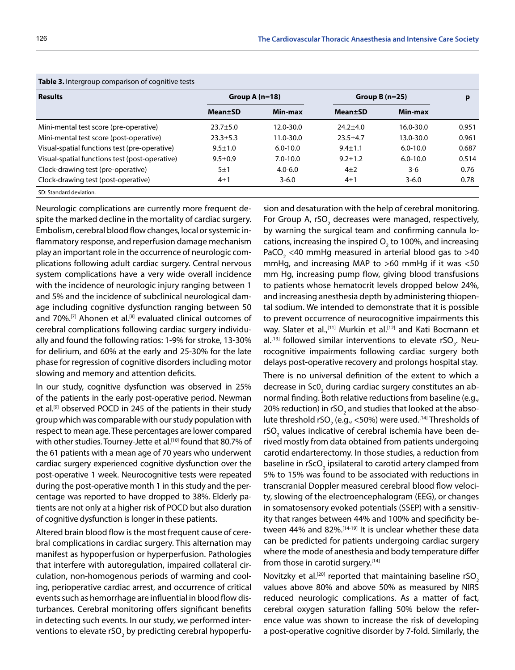| <b>Table 3.</b> Intergroup comparison of cognitive tests |                  |              |                 |              |       |  |  |  |
|----------------------------------------------------------|------------------|--------------|-----------------|--------------|-------|--|--|--|
| <b>Results</b>                                           | Group A $(n=18)$ |              | Group $B(n=25)$ |              | p     |  |  |  |
|                                                          | <b>Mean</b> ±SD  | Min-max      | <b>Mean</b> ±SD | Min-max      |       |  |  |  |
| Mini-mental test score (pre-operative)                   | $23.7 + 5.0$     | 12.0-30.0    | $24.2 + 4.0$    | 16.0-30.0    | 0.951 |  |  |  |
| Mini-mental test score (post-operative)                  | $23.3 + 5.3$     | 11.0-30.0    | $23.5 + 4.7$    | 13.0-30.0    | 0.961 |  |  |  |
| Visual-spatial functions test (pre-operative)            | $9.5 \pm 1.0$    | $6.0 - 10.0$ | $9.4 \pm 1.1$   | $6.0 - 10.0$ | 0.687 |  |  |  |
| Visual-spatial functions test (post-operative)           | $9.5 \pm 0.9$    | $7.0 - 10.0$ | $9.2 \pm 1.2$   | $6.0 - 10.0$ | 0.514 |  |  |  |
| Clock-drawing test (pre-operative)                       | 5±1              | $4.0 - 6.0$  | $4\pm 2$        | 3-6          | 0.76  |  |  |  |
| Clock-drawing test (post-operative)                      | $4\pm1$          | $3 - 6.0$    | $4\pm1$         | $3 - 6.0$    | 0.78  |  |  |  |
| SD: Standard deviation.                                  |                  |              |                 |              |       |  |  |  |

**Table 3.** Intergroup comparison of cognitive tests

Neurologic complications are currently more frequent despite the marked decline in the mortality of cardiac surgery. Embolism, cerebral blood flow changes, local or systemic inflammatory response, and reperfusion damage mechanism play an important role in the occurrence of neurologic complications following adult cardiac surgery. Central nervous system complications have a very wide overall incidence with the incidence of neurologic injury ranging between 1 and 5% and the incidence of subclinical neurological damage including cognitive dysfunction ranging between 50 and 70%.<sup>[7]</sup> Ahonen et al.<sup>[8]</sup> evaluated clinical outcomes of cerebral complications following cardiac surgery individually and found the following ratios: 1-9% for stroke, 13-30% for delirium, and 60% at the early and 25-30% for the late phase for regression of cognitive disorders including motor slowing and memory and attention deficits.

In our study, cognitive dysfunction was observed in 25% of the patients in the early post-operative period. Newman et al.<sup>[9]</sup> observed POCD in 245 of the patients in their study group which was comparable with our study population with respect to mean age. These percentages are lower compared with other studies. Tourney-Jette et al.<sup>[10]</sup> found that 80.7% of the 61 patients with a mean age of 70 years who underwent cardiac surgery experienced cognitive dysfunction over the post-operative 1 week. Neurocognitive tests were repeated during the post-operative month 1 in this study and the percentage was reported to have dropped to 38%. Elderly patients are not only at a higher risk of POCD but also duration of cognitive dysfunction is longer in these patients.

Altered brain blood flow is the most frequent cause of cerebral complications in cardiac surgery. This alternation may manifest as hypoperfusion or hyperperfusion. Pathologies that interfere with autoregulation, impaired collateral circulation, non-homogenous periods of warming and cooling, perioperative cardiac arrest, and occurrence of critical events such as hemorrhage are influential in blood flow disturbances. Cerebral monitoring offers significant benefits in detecting such events. In our study, we performed interventions to elevate rSO $_{\textrm{\tiny{2}}}$  by predicting cerebral hypoperfusion and desaturation with the help of cerebral monitoring. For Group A, rSO<sub>2</sub> decreases were managed, respectively, by warning the surgical team and confirming cannula locations, increasing the inspired  $\mathsf{O}_2$  to 100%, and increasing PaCO<sub>2</sub> <40 mmHg measured in arterial blood gas to >40 mmHg, and increasing MAP to >60 mmHg if it was <50 mm Hg, increasing pump flow, giving blood transfusions to patients whose hematocrit levels dropped below 24%, and increasing anesthesia depth by administering thiopental sodium. We intended to demonstrate that it is possible to prevent occurrence of neurocognitive impairments this way. Slater et al.,<sup>[11]</sup> Murkin et al.<sup>[12]</sup> and Kati Bocmann et al.<sup>[13]</sup> followed similar interventions to elevate rSO<sub>2</sub>. Neurocognitive impairments following cardiac surgery both delays post-operative recovery and prolongs hospital stay.

There is no universal definition of the extent to which a decrease in Sc0<sub>2</sub> during cardiac surgery constitutes an abnormal finding. Both relative reductions from baseline (e.g., 20% reduction) in rSO<sub>2</sub> and studies that looked at the absolute threshold rSO $_{_2}$  (e.g., <50%) were used. $^{\text{\tiny{[14]}}}$ Thresholds of rSO<sub>2</sub> values indicative of cerebral ischemia have been derived mostly from data obtained from patients undergoing carotid endarterectomy. In those studies, a reduction from baseline in rScO<sub>2</sub> ipsilateral to carotid artery clamped from 5% to 15% was found to be associated with reductions in transcranial Doppler measured cerebral blood flow velocity, slowing of the electroencephalogram (EEG), or changes in somatosensory evoked potentials (SSEP) with a sensitivity that ranges between 44% and 100% and specificity between 44% and 82%.[14-19] It is unclear whether these data can be predicted for patients undergoing cardiac surgery where the mode of anesthesia and body temperature differ from those in carotid surgery.<sup>[14]</sup>

Novitzky et al.<sup>[20]</sup> reported that maintaining baseline  $rSO<sub>2</sub>$ values above 80% and above 50% as measured by NIRS reduced neurologic complications. As a matter of fact, cerebral oxygen saturation falling 50% below the reference value was shown to increase the risk of developing a post-operative cognitive disorder by 7-fold. Similarly, the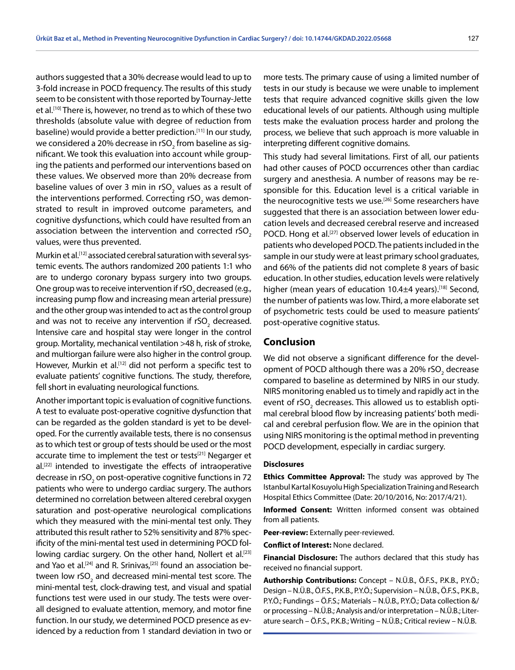authors suggested that a 30% decrease would lead to up to 3-fold increase in POCD frequency. The results of this study seem to be consistent with those reported by Tournay-Jette et al.<sup>[10]</sup> There is, however, no trend as to which of these two thresholds (absolute value with degree of reduction from baseline) would provide a better prediction.<sup>[11]</sup> In our study, we considered a 20% decrease in rSO $_{\textrm{\tiny{2}}}$ from baseline as significant. We took this evaluation into account while grouping the patients and performed our interventions based on these values. We observed more than 20% decrease from baseline values of over 3 min in rSO<sub>2</sub> values as a result of the interventions performed. Correcting rSO<sub>2</sub> was demonstrated to result in improved outcome parameters, and cognitive dysfunctions, which could have resulted from an association between the intervention and corrected  $rSO<sub>2</sub>$ values, were thus prevented.

Murkin et al.<sup>[12]</sup> associated cerebral saturation with several systemic events. The authors randomized 200 patients 1:1 who are to undergo coronary bypass surgery into two groups. One group was to receive intervention if rSO $_{_2}$  decreased (e.g., increasing pump flow and increasing mean arterial pressure) and the other group was intended to act as the control group and was not to receive any intervention if rSO<sub>2</sub> decreased. Intensive care and hospital stay were longer in the control group. Mortality, mechanical ventilation >48 h, risk of stroke, and multiorgan failure were also higher in the control group. However, Murkin et al.<sup>[12]</sup> did not perform a specific test to evaluate patients' cognitive functions. The study, therefore, fell short in evaluating neurological functions.

Another important topic is evaluation of cognitive functions. A test to evaluate post-operative cognitive dysfunction that can be regarded as the golden standard is yet to be developed. For the currently available tests, there is no consensus as to which test or group of tests should be used or the most accurate time to implement the test or tests<sup>[21]</sup> Negarger et al.<sup>[22]</sup> intended to investigate the effects of intraoperative decrease in rSO<sub>2</sub> on post-operative cognitive functions in 72 patients who were to undergo cardiac surgery. The authors determined no correlation between altered cerebral oxygen saturation and post-operative neurological complications which they measured with the mini-mental test only. They attributed this result rather to 52% sensitivity and 87% specificity of the mini-mental test used in determining POCD following cardiac surgery. On the other hand, Nollert et al.<sup>[23]</sup> and Yao et al.<sup>[24]</sup> and R. Srinivas,<sup>[25]</sup> found an association between low rSO<sub>2</sub> and decreased mini-mental test score. The mini-mental test, clock-drawing test, and visual and spatial functions test were used in our study. The tests were overall designed to evaluate attention, memory, and motor fine function. In our study, we determined POCD presence as evidenced by a reduction from 1 standard deviation in two or

more tests. The primary cause of using a limited number of tests in our study is because we were unable to implement tests that require advanced cognitive skills given the low educational levels of our patients. Although using multiple tests make the evaluation process harder and prolong the process, we believe that such approach is more valuable in interpreting different cognitive domains.

This study had several limitations. First of all, our patients had other causes of POCD occurrences other than cardiac surgery and anesthesia. A number of reasons may be responsible for this. Education level is a critical variable in the neurocognitive tests we use.<sup>[26]</sup> Some researchers have suggested that there is an association between lower education levels and decreased cerebral reserve and increased POCD. Hong et al.<sup>[27]</sup> observed lower levels of education in patients who developed POCD. The patients included in the sample in our study were at least primary school graduates, and 66% of the patients did not complete 8 years of basic education. In other studies, education levels were relatively higher (mean years of education 10.4±4 years).<sup>[18]</sup> Second, the number of patients was low. Third, a more elaborate set of psychometric tests could be used to measure patients' post-operative cognitive status.

### **Conclusion**

We did not observe a significant difference for the development of POCD although there was a 20% rSO<sub>2</sub> decrease compared to baseline as determined by NIRS in our study. NIRS monitoring enabled us to timely and rapidly act in the event of rSO<sub>2</sub> decreases. This allowed us to establish optimal cerebral blood flow by increasing patients' both medical and cerebral perfusion flow. We are in the opinion that using NIRS monitoring is the optimal method in preventing POCD development, especially in cardiac surgery.

#### **Disclosures**

**Ethics Committee Approval:** The study was approved by The Istanbul Kartal Kosuyolu High Specialization Training and Research Hospital Ethics Committee (Date: 20/10/2016, No: 2017/4/21).

**Informed Consent:** Written informed consent was obtained from all patients.

**Peer-review:** Externally peer-reviewed.

**Conflict of Interest:** None declared.

**Financial Disclosure:** The authors declared that this study has received no financial support.

**Authorship Contributions:** Concept – N.Ü.B., Ö.F.S., P.K.B., P.Y.Ö.; Design – N.Ü.B., Ö.F.S., P.K.B., P.Y.Ö.; Supervision – N.Ü.B., Ö.F.S., P.K.B., P.Y.Ö.; Fundings – Ö.F.S.; Materials – N.Ü.B., P.Y.Ö.; Data collection &/ or processing – N.Ü.B.; Analysis and/or interpretation – N.Ü.B.; Literature search – Ö.F.S., P.K.B.; Writing – N.Ü.B.; Critical review – N.Ü.B.